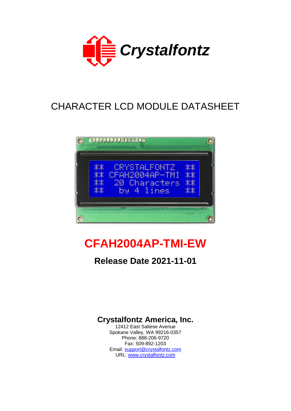

# CHARACTER LCD MODULE DATASHEET



# **CFAH2004AP-TMI-EW**

## **Release Date 2021-11-01**

**Crystalfontz America, Inc.**

12412 East Saltese Avenue Spokane Valley, WA 99216-0357 Phone: 888-206-9720 Fax: 509-892-1203 Email: [support@crystalfontz.com](mailto:support@crystalfontz.com) URL: [www.crystalfontz.com](http://www.crystalfontz.com/)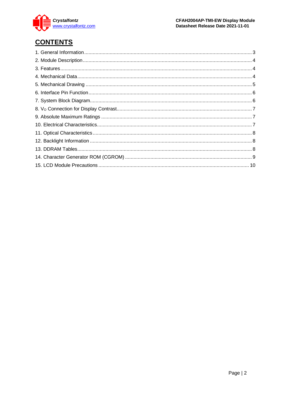

## **CONTENTS**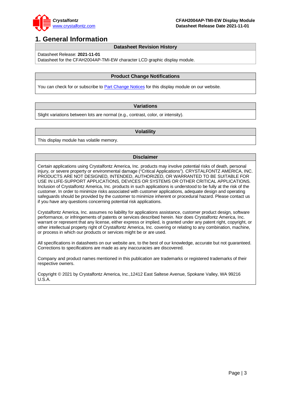

## <span id="page-2-0"></span>**1. General Information**

#### **Datasheet Revision History**

Datasheet Release: **2021-11-01**

Datasheet for the CFAH2004AP-TMI-EW character LCD graphic display module.

#### **Product Change Notifications**

You can check for or subscribe to [Part Change Notices](https://www.crystalfontz.com/news/pcn.php) for this display module on our website.

#### **Variations**

Slight variations between lots are normal (e.g., contrast, color, or intensity).

#### **Volatility**

This display module has volatile memory.

#### **Disclaimer**

Certain applications using Crystalfontz America, Inc. products may involve potential risks of death, personal injury, or severe property or environmental damage ("Critical Applications"). CRYSTALFONTZ AMERICA, INC. PRODUCTS ARE NOT DESIGNED, INTENDED, AUTHORIZED, OR WARRANTED TO BE SUITABLE FOR USE IN LIFE-SUPPORT APPLICATIONS, DEVICES OR SYSTEMS OR OTHER CRITICAL APPLICATIONS. Inclusion of Crystalfontz America, Inc. products in such applications is understood to be fully at the risk of the customer. In order to minimize risks associated with customer applications, adequate design and operating safeguards should be provided by the customer to minimize inherent or procedural hazard. Please contact us if you have any questions concerning potential risk applications.

Crystalfontz America, Inc. assumes no liability for applications assistance, customer product design, software performance, or infringements of patents or services described herein. Nor does Crystalfontz America, Inc. warrant or represent that any license, either express or implied, is granted under any patent right, copyright, or other intellectual property right of Crystalfontz America, Inc. covering or relating to any combination, machine, or process in which our products or services might be or are used.

All specifications in datasheets on our website are, to the best of our knowledge, accurate but not guaranteed. Corrections to specifications are made as any inaccuracies are discovered.

Company and product names mentioned in this publication are trademarks or registered trademarks of their respective owners.

Copyright © 2021 by Crystalfontz America, Inc.,12412 East Saltese Avenue, Spokane Valley, WA 99216 U.S.A.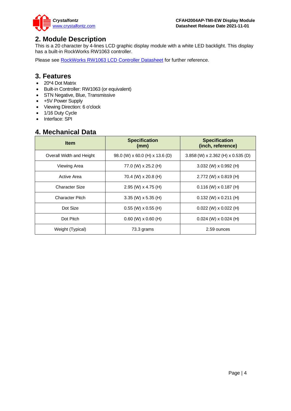

## <span id="page-3-0"></span>**2. Module Description**

This is a 20 character by 4-lines LCD graphic display module with a white LED backlight. This display has a built-in RockWorks RW1063 controller.

Please see [RockWorks RW1063 LCD Controller Datasheet](https://www.crystalfontz.com/controllers/RockWorks/RW1063-0B-002/) for further reference.

#### <span id="page-3-1"></span>**3. Features**

- 20\*4 Dot Matrix
- Built-in Controller: RW1063 (or equivalent)
- STN Negative, Blue, Transmissive
- +5V Power Supply
- Viewing Direction: 6 o'clock
- 1/16 Duty Cycle
- Interface: SPI

### <span id="page-3-2"></span>**4. Mechanical Data**

| <b>Item</b>              | <b>Specification</b><br>(mm)   | <b>Specification</b><br>(inch, reference) |
|--------------------------|--------------------------------|-------------------------------------------|
| Overall Width and Height | 98.0 (W) x 60.0 (H) x 13.6 (D) | 3.858 (W) x 2.362 (H) x 0.535 (D)         |
| Viewing Area             | 77.0 (W) x 25.2 (H)            | 3.032 (W) $\times$ 0.992 (H)              |
| Active Area              | 70.4 (W) x 20.8 (H)            | $2.772$ (W) x 0.819 (H)                   |
| <b>Character Size</b>    | 2.95 (W) x 4.75 (H)            | $0.116$ (W) x 0.187 (H)                   |
| <b>Character Pitch</b>   | $3.35$ (W) x 5.35 (H)          | $0.132$ (W) x $0.211$ (H)                 |
| Dot Size                 | $0.55$ (W) x $0.55$ (H)        | $0.022$ (W) x $0.022$ (H)                 |
| Dot Pitch                | $0.60$ (W) $\times$ 0.60 (H)   | $0.024$ (W) x $0.024$ (H)                 |
| Weight (Typical)         | 73.3 grams                     | 2.59 ounces                               |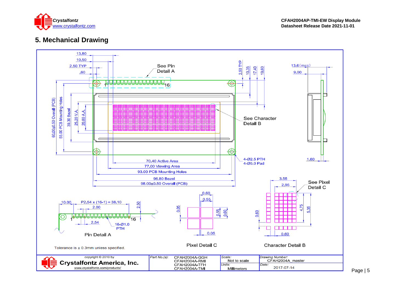

## **5. Mechanical Drawing**

<span id="page-4-0"></span>

Page | 5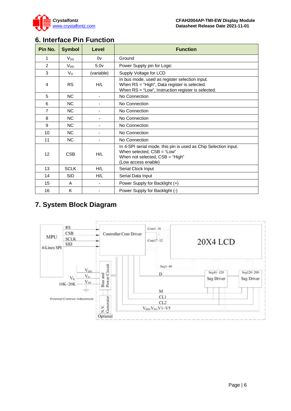

## <span id="page-5-0"></span>**6. Interface Pin Function**

| Pin No.        | <b>Symbol</b> | Level                    | <b>Function</b>                                                                                                                                           |
|----------------|---------------|--------------------------|-----------------------------------------------------------------------------------------------------------------------------------------------------------|
| 1              | $V_{SS}$      | 0v                       | Ground                                                                                                                                                    |
| $\mathfrak{p}$ | $V_{DD}$      | 5.0 <sub>v</sub>         | Power Supply pin for Logic                                                                                                                                |
| 3              | $V_{\rm O}$   | (variable)               | Supply Voltage for LCD                                                                                                                                    |
| 4              | <b>RS</b>     | H/L                      | In bus mode, used as register selection input.<br>When RS = "High", Data register is selected.<br>When RS = "Low", Instruction register is selected.      |
| 5              | <b>NC</b>     |                          | No Connection                                                                                                                                             |
| 6              | <b>NC</b>     |                          | No Connection                                                                                                                                             |
| $\overline{7}$ | <b>NC</b>     |                          | No Connection                                                                                                                                             |
| 8              | <b>NC</b>     |                          | No Connection                                                                                                                                             |
| 9              | NC.           | $\overline{\phantom{a}}$ | No Connection                                                                                                                                             |
| 10             | <b>NC</b>     |                          | No Connection                                                                                                                                             |
| 11             | <b>NC</b>     |                          | No Connection                                                                                                                                             |
| 12             | <b>CSB</b>    | H/L                      | In 4-SPI serial mode, this pin is used as Chip Selection input.<br>When selected, CSB = "Low"<br>When not selected, $CSB = "High"$<br>(Low access enable) |
| 13             | <b>SCLK</b>   | H/L                      | Serial Clock Input                                                                                                                                        |
| 14             | <b>SID</b>    | H/L                      | Serial Data Input                                                                                                                                         |
| 15             | A             |                          | Power Supply for Backlight (+)                                                                                                                            |
| 16             | K             |                          | Power Supply for Backlight (-)                                                                                                                            |

## <span id="page-5-1"></span>**7. System Block Diagram**

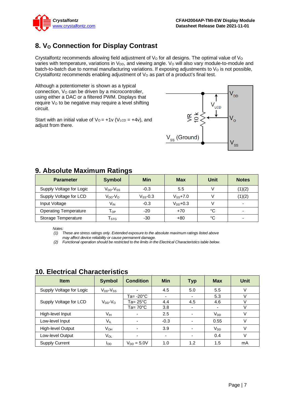

## <span id="page-6-0"></span>8. **V<sub>o</sub> Connection for Display Contrast**

Crystalfontz recommends allowing field adjustment of  $V<sub>O</sub>$  for all designs. The optimal value of  $V<sub>O</sub>$ varies with temperature, variations in V<sub>DD</sub>, and viewing angle. V<sub>o</sub> will also vary module-to-module and batch-to-batch due to normal manufacturing variations. If exposing adjustments to  $V<sub>o</sub>$  is not possible, Crystalfontz recommends enabling adjustment of  $V<sub>O</sub>$  as part of a product's final test.

Although a potentiometer is shown as a typical connection,  $V<sub>O</sub>$  can be driven by a microcontroller, using either a DAC or a filtered PWM. Displays that require Vo to be negative may require a level shifting circuit.

Start with an initial value of  $V_0 = +1v$  (V<sub>LCD</sub> = +4v), and adjust from there.



## <span id="page-6-1"></span>**9. Absolute Maximum Ratings**

| <b>Parameter</b>             | <b>Symbol</b>                    | <b>Min</b>    | <b>Max</b>    | Unit | <b>Notes</b>             |
|------------------------------|----------------------------------|---------------|---------------|------|--------------------------|
| Supply Voltage for Logic     | V <sub>DD</sub> -V <sub>SS</sub> | $-0.3$        | 5.5           |      | (1)(2)                   |
| Supply Voltage for LCD       | $V_{DD}$ - $V_{O}$               | $V_{SS}$ -0.3 | $V_{SS}$ +7.0 |      | (1)(2)                   |
| Input Voltage                | V <sub>IN</sub>                  | $-0.3$        | $V_{DD}$ +0.3 |      | $\overline{\phantom{0}}$ |
| <b>Operating Temperature</b> | $\mathsf{T}_{\mathsf{OP}}$       | $-20$         | $+70$         | °C   | ۰.                       |
| Storage Temperature          | l stg                            | -30           | $+80$         | °C   | $\overline{\phantom{0}}$ |

*Notes:*

*(1) These are stress ratings only. Extended exposure to the absolute maximum ratings listed above may affect device reliability or cause permanent damage.* 

*(2) Functional operation should be restricted to the limits in the Electrical Characteristics table below.*

| <b>Item</b>              | <b>Symbol</b>       | <b>Condition</b>         | <b>Min</b>               | <b>Typ</b>               | <b>Max</b> | <b>Unit</b> |
|--------------------------|---------------------|--------------------------|--------------------------|--------------------------|------------|-------------|
| Supply Voltage for Logic | $V_{DD}$ - $V_{SS}$ |                          | 4.5                      | 5.0                      | 5.5        | V           |
|                          |                     | Ta= -20°C                | $\overline{\phantom{0}}$ | $\overline{\phantom{a}}$ | 5.3        |             |
| Supply Voltage for LCD   | $V_{DD}$ - $V_{O}$  | Ta= 25°C                 | 4.4                      | 4.5                      | 4.6        |             |
|                          |                     | Ta= $70^{\circ}$ C       | 3.8                      | $\overline{\phantom{a}}$ |            |             |
| High-level Input         | V <sub>IH</sub>     | $\overline{\phantom{0}}$ | 2.5                      | $\overline{\phantom{a}}$ | $V_{DD}$   | V           |
| Low-level Input          | VIL                 |                          | $-0.3$                   |                          | 0.55       | $\vee$      |
| High-level Output        | V <sub>OH</sub>     |                          | 3.9                      | $\overline{\phantom{a}}$ | $V_{DD}$   | V           |
| Low-level Output         | $V_{OL}$            |                          | $\overline{\phantom{a}}$ | $\overline{\phantom{0}}$ | 0.4        | V           |
| <b>Supply Current</b>    | loo                 | $V_{DD} = 5.0V$          | 1.0                      | 1.2                      | 1.5        | mA          |

## <span id="page-6-2"></span>**10. Electrical Characteristics**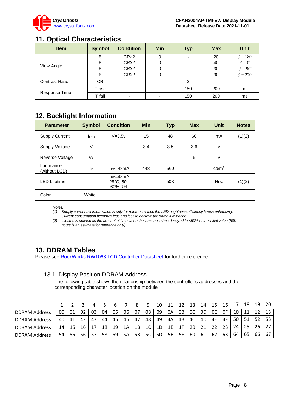

## <span id="page-7-0"></span>**11. Optical Characteristics**

| <b>Item</b>           | <b>Symbol</b> | <b>Condition</b>         | Min                      | <b>Typ</b> | <b>Max</b> | Unit                 |
|-----------------------|---------------|--------------------------|--------------------------|------------|------------|----------------------|
|                       | θ             | CR <sub>2</sub>          |                          |            | 20         | $\phi = 180^\circ$   |
|                       | θ             | CR <sub>2</sub>          |                          |            | 40         | $\phi = 0^{\circ}$   |
| View Angle            | θ             | CR <sub>2</sub>          |                          |            | 30         | $\phi = 90^{\circ}$  |
|                       | θ             | CR <sub>2</sub>          |                          |            | 30         | $\phi = 270^{\circ}$ |
| <b>Contrast Ratio</b> | СR            | $\overline{\phantom{0}}$ | $\overline{\phantom{0}}$ | 3          |            | -                    |
|                       | T rise        | $\overline{\phantom{0}}$ | ۰                        | 150        | 200        | ms                   |
| Response Time         | T fall        | $\overline{\phantom{0}}$ |                          | 150        | 200        | ms                   |

## <span id="page-7-1"></span>**12. Backlight Information**

| <b>Parameter</b>           | <b>Symbol</b>    | <b>Condition</b>                        | <b>Min</b>               | <b>Typ</b>     | <b>Max</b> | Unit              | <b>Notes</b>             |
|----------------------------|------------------|-----------------------------------------|--------------------------|----------------|------------|-------------------|--------------------------|
| <b>Supply Current</b>      | I <sub>LED</sub> | $V = 3.5v$                              | 15                       | 48             | 60         | mA                | (1)(2)                   |
| Supply Voltage             | V                |                                         | 3.4                      | 3.5            | 3.6        | V                 |                          |
| Reverse Voltage            | $V_{R}$          | $\overline{\phantom{a}}$                | $\overline{\phantom{a}}$ | $\blacksquare$ | 5          | V                 | $\overline{\phantom{a}}$ |
| Luminance<br>(without LCD) | $I_{\rm V}$      | $IIFD=48mA$                             | 448                      | 560            |            | cd/m <sup>2</sup> |                          |
| <b>LED Lifetime</b>        | $\blacksquare$   | $I_{LED} = 48mA$<br>25°C, 50-<br>60% RH | $\blacksquare$           | 50K            | ۰          | Hrs.              | (1)(2)                   |
| Color                      | White            |                                         |                          |                |            |                   |                          |

*Notes:* 

*(1) Supply current minimum value is only for reference since the LED brightness efficiency keeps enhancing. Current consumption becomes less and less to achieve the same luminance.* 

*(2) Lifetime is defined as the amount of time when the luminance has decayed to <50% of the initial value (50K hours is an estimate for reference only).*

### <span id="page-7-2"></span>**13. DDRAM Tables**

Please see **RockWorks RW1063 LCD Controller Datasheet** for further reference.

#### 13.1. Display Position DDRAM Address

The following table shows the relationship between the controller's addresses and the corresponding character location on the module

|                      |    |    |    |    |    |    |    |    | 9              | 10 |    |    | 13 | 14 |    | 16 |    |    | 19 |     |
|----------------------|----|----|----|----|----|----|----|----|----------------|----|----|----|----|----|----|----|----|----|----|-----|
| <b>DDRAM Address</b> | 00 | 01 | 02 | 03 | 04 | 05 | 06 | 07 | 08             | 09 | 0A | 0B | 0C | 0D | 0E | 0F | 10 |    |    | 13  |
| <b>DDRAM Address</b> | 40 | 41 |    | 43 | 44 | 45 | 46 | 47 | 48             | 49 | 4A | 4B | 4C | 4D | 4E | 4F | 50 |    | 52 | 53  |
| <b>DDRAM Address</b> | 14 |    | 16 |    | 18 | 19 | 1A | 1B | 1 <sup>C</sup> | 1D | 1E | 1F | 20 | 21 | つつ | 23 | 24 |    | 26 | ר ר |
| <b>DDRAM Address</b> | 54 | 55 |    |    | 58 | 59 | 5A | 5B | 5C             | 5D | 5E | 5F | 60 | 61 | 62 | 63 | 64 | 65 | 66 | 67  |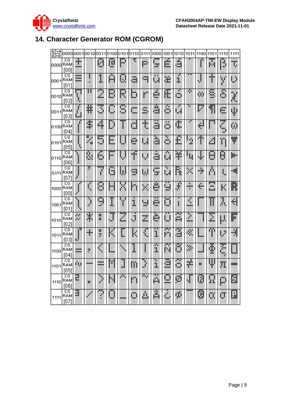

## <span id="page-8-0"></span>**14. Character Generator ROM (CGROM)**

| $b7 - 4$<br>Ь3~О |                   | 0000l0001 |         | 00100011 | 0100    |                     | 0101l0110        | 0111 | 1000       | 1001     | 1010           | 1011       | 1100    | 1101    | 1110          | 1111  |
|------------------|-------------------|-----------|---------|----------|---------|---------------------|------------------|------|------------|----------|----------------|------------|---------|---------|---------------|-------|
| 0000RAM          | CG<br>[00]        | İ         |         | U        | Щ       |                     |                  | P    | ×          | Ė.       | á              |            | ŝ       | B.      | Ď             | I.    |
| 0001             | CG<br>RAM<br>[01] | ≣         |         | 1        | p.      | U                   | ä                | o,   | ××<br>W    | ä.       | ä,             |            |         | Ť       | y             | ₿     |
| 0010             | CG<br>RAM<br>[02] | m<br>ē    | π       | m<br>J.  | ь       |                     | Ь                | ř.   | é          | Æ        | ä              | P.         | ω       | ē       | ×<br>ô        | l     |
| 0011             | CG<br>RAM<br>[03] | A         | ₩       | J        | ш       | g                   | <b>Side</b><br>w | s    | 9          | Ā        | $\bullet$<br>Щ |            | p       | 9       | E             | ψ     |
| 0100 RAM         | CG<br>[04]        | ¥         | \$,     | 4        | ø       | ш<br>j              | d                | t    | ð          | ä        | ¢              |            | ÷       |         | m<br>Ľ,<br>38 | Ü,    |
| 0101             | CG<br>RAM<br>[05] |           | 翢<br>÷. | 蕨<br>48  | ÷<br>L, |                     | e                | U    | ā          | ē        | £              | U,<br>20   | m<br>s. | 4       | Ĭ.            | Ŧ     |
| 0110             | CG<br>RAM<br>1061 | F         | ß.      | 6        | ш.      | U                   | T                | Ø    | ā          | m<br>g)  | Ŧ              | i.         | J.      | θ       | B             | ij.   |
| 0111             | СG<br>RAM<br>[07] |           | ņ.      | ï        | U       | 鞹                   | S                | Ų    | gan a<br>鰈 | bЩ<br>ψä | i,             |            | ÷       | \$      | ł,            | -41   |
| 1000             | СG<br>RAM<br>1001 |           | 每       | 8        |         |                     | ă                | ×    | ē          | U        | ۲              | ₩          | ÷       | m<br>ä. | K             | R     |
| 1001             | СG<br>RAM<br>[01] |           | j       | C,<br>æ  | I       | ľ                   | I                | W    | ē          | Ö        | Ĭ              | Ľ          |         | Π       | ä.            | 숵     |
| 1010             | CG<br>RAM<br>[02] | ×<br>ш    | ķ.      | 猟<br>w.  | U       | X                   | ö                | Z    | ē          | Ш        | g              | Þ,<br>anis |         | I       | E.            | F     |
| 1011             | CG<br>RAM<br>[03] |           | ÷       | ж<br>b,  | k,      |                     | K                | ł,   | 馬馬<br>I    | æ<br>m   | ē              | ä          |         |         | H             | ij    |
| 1100             | CG<br>RAM<br>[04] | æ         | ö,      | 唧        | istore. | $\ddot{\textbf{a}}$ |                  |      | I          | m        | õ              | Þ,         | فتبو    | ŧ       | 跚             |       |
| 1101             | CG<br>RAM<br>[05] | Ĥ.        | m       | ₩        | H       | <br>J               | m                | J    | ä.         | <br>≝    | æ<br>ö         | ė          | 簅       | Ψ       | π             | m     |
| 1110             | CG<br>RAM<br>[06] | F.        | W.      | Π        | U       | w.                  | r.               | Г.   | Ä,         | -<br>s   | ø              |            | W       | H.      | D             | B     |
| 1111             | CG<br>RAM<br>[07] | E         |         | ल्ला     |         | mana a              | O                | A    | Â          |          | ÿ.             |            | Ø       | Ü.      | Ü             | <br>M |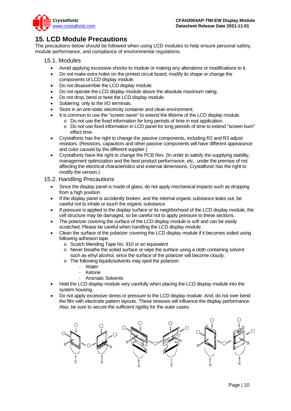

## <span id="page-9-0"></span>**15. LCD Module Precautions**

The precautions below should be followed when using LCD modules to help ensure personal safety, module performance, and compliance of environmental regulations.

#### 15.1. Modules

- Avoid applying excessive shocks to module or making any alterations or modifications to it.
- Do not make extra holes on the printed circuit board, modify its shape or change the components of LCD display module.
- Do not disassemble the LCD display module.
- Do not operate the LCD display module above the absolute maximum rating.
- Do not drop, bend or twist the LCD display module.
- Soldering: only to the I/O terminals.
- Store in an anti-static electricity container and clean environment.
- It is common to use the "screen saver" to extend the lifetime of the LCD display module.
	- o Do not use the fixed information for long periods of time in real application.
	- o Do not use fixed information in LCD panel for long periods of time to extend "screen burn" effect time.
- Crystalfontz has the right to change the passive components, including R2 and R3 adjust resistors. (Resistors, capacitors and other passive components will have different appearance and color caused by the different supplier.)
- Crystalfontz have the right to change the PCB Rev. (In order to satisfy the supplying stability, management optimization and the best product performance, etc., under the premise of not affecting the electrical characteristics and external dimensions, Crystalfontz has the right to modify the version.).

#### 15.2. Handling Precautions

- Since the display panel is made of glass, do not apply mechanical impacts such as dropping from a high position.
- If the display panel is accidently broken, and the internal organic substance leaks out, be careful not to inhale or touch the organic substance.
- If pressure is applied to the display surface or its neighborhood of the LCD display module, the cell structure may be damaged, so be careful not to apply pressure to these sections.
- The polarizer covering the surface of the LCD display module is soft and can be easily scratched. Please be careful when handling the LCD display module.
- Clean the surface of the polarizer covering the LCD display module if it becomes soiled using following adhesion tape.
	- o Scotch Mending Tape No. 810 or an equivalent
	- o Never breathe the soiled surface or wipe the surface using a cloth containing solvent such as ethyl alcohol, since the surface of the polarizer will become cloudy.
	- o The following liquids/solvents may spoil the polarizer:
		- **Water**
		- **Ketone**
		- Aromatic Solvents
- Hold the LCD display module very carefully when placing the LCD display module into the system housing.
- Do not apply excessive stress or pressure to the LCD display module. And, do not over bend the film with electrode pattern layouts. These stresses will influence the display performance. Also, be sure to secure the sufficient rigidity for the outer cases.

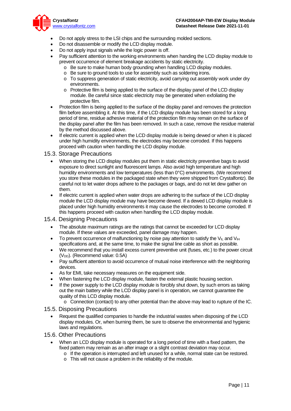

- Do not apply stress to the LSI chips and the surrounding molded sections.
- Do not disassemble or modify the LCD display module.
- Do not apply input signals while the logic power is off.
- Pay sufficient attention to the working environments when handing the LCD display module to prevent occurrence of element breakage accidents by static electricity.
	- o Be sure to make human body grounding when handling LCD display modules.
	- o Be sure to ground tools to use for assembly such as soldering irons.
	- o To suppress generation of static electricity, avoid carrying out assembly work under dry environments.
	- o Protective film is being applied to the surface of the display panel of the LCD display module. Be careful since static electricity may be generated when exfoliating the protective film.
- Protection film is being applied to the surface of the display panel and removes the protection film before assembling it. At this time, if the LCD display module has been stored for a long period of time, residue adhesive material of the protection film may remain on the surface of the display panel after the film has been removed. In such a case, remove the residue material by the method discussed above.
- If electric current is applied when the LCD display module is being dewed or when it is placed under high humidity environments, the electrodes may become corroded. If this happens proceed with caution when handling the LCD display module.

#### 15.3. Storage Precautions

- When storing the LCD display modules put them in static electricity preventive bags to avoid exposure to direct sunlight and fluorescent lamps. Also avoid high temperature and high humidity environments and low temperatures (less than 0°C) environments. (We recommend you store these modules in the packaged state when they were shipped from Crystalfontz). Be careful not to let water drops adhere to the packages or bags, and do not let dew gather on them.
- If electric current is applied when water drops are adhering to the surface of the LCD display module the LCD display module may have become dewed. If a dewed LCD display module is placed under high humidity environments it may cause the electrodes to become corroded. If this happens proceed with caution when handling the LCD display module.

#### 15.4. Designing Precautions

- The absolute maximum ratings are the ratings that cannot be exceeded for LCD display module. If these values are exceeded, panel damage may happen.
- To prevent occurrence of malfunctioning by noise pay attention to satisfy the  $V_{II}$  and  $V_{IH}$ specifications and, at the same time, to make the signal line cable as short as possible.
- We recommend that you install excess current preventive unit (fuses, etc.) to the power circuit (V<sub>DD</sub>). (Recommend value: 0.5A)
- Pay sufficient attention to avoid occurrence of mutual noise interference with the neighboring devices.
- As for EMI, take necessary measures on the equipment side.
- When fastening the LCD display module, fasten the external plastic housing section.
- If the power supply to the LCD display module is forcibly shut down, by such errors as taking out the main battery while the LCD display panel is in operation, we cannot guarantee the quality of this LCD display module.
	- o Connection (contact) to any other potential than the above may lead to rupture of the IC.

#### 15.5. Disposing Precautions

• Request the qualified companies to handle the industrial wastes when disposing of the LCD display modules. Or, when burning them, be sure to observe the environmental and hygienic laws and regulations.

#### 15.6. Other Precautions

- When an LCD display module is operated for a long period of time with a fixed pattern, the fixed pattern may remain as an after image or a slight contrast deviation may occur.
	- $\circ$  If the operation is interrupted and left unused for a while, normal state can be restored.
	- o This will not cause a problem in the reliability of the module.